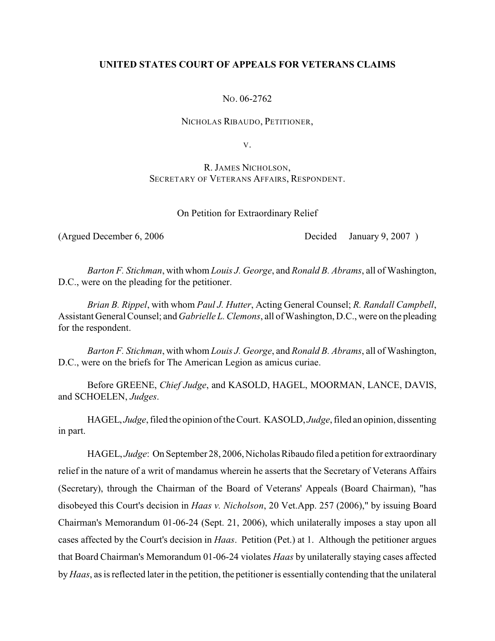# **UNITED STATES COURT OF APPEALS FOR VETERANS CLAIMS**

NO. 06-2762

NICHOLAS RIBAUDO, PETITIONER,

V.

R. JAMES NICHOLSON, SECRETARY OF VETERANS AFFAIRS, RESPONDENT.

On Petition for Extraordinary Relief

(Argued December 6, 2006 Decided January 9, 2007)

*Barton F. Stichman*, with whom *Louis J. George*, and *Ronald B. Abrams*, all of Washington, D.C., were on the pleading for the petitioner.

*Brian B. Rippel*, with whom *Paul J. Hutter*, Acting General Counsel; *R. Randall Campbell*, Assistant General Counsel; and *Gabrielle L. Clemons*, all of Washington, D.C., were on the pleading for the respondent.

*Barton F. Stichman*, with whom *Louis J. George*, and *Ronald B. Abrams*, all of Washington, D.C., were on the briefs for The American Legion as amicus curiae.

Before GREENE, *Chief Judge*, and KASOLD, HAGEL, MOORMAN, LANCE, DAVIS, and SCHOELEN, *Judges*.

HAGEL, *Judge*, filed the opinion of the Court. KASOLD, *Judge*, filed an opinion, dissenting in part.

HAGEL, *Judge*: On September 28, 2006, Nicholas Ribaudo filed a petition for extraordinary relief in the nature of a writ of mandamus wherein he asserts that the Secretary of Veterans Affairs (Secretary), through the Chairman of the Board of Veterans' Appeals (Board Chairman), "has disobeyed this Court's decision in *Haas v. Nicholson*, 20 Vet.App. 257 (2006)," by issuing Board Chairman's Memorandum 01-06-24 (Sept. 21, 2006), which unilaterally imposes a stay upon all cases affected by the Court's decision in *Haas*. Petition (Pet.) at 1. Although the petitioner argues that Board Chairman's Memorandum 01-06-24 violates *Haas* by unilaterally staying cases affected by *Haas*, as is reflected later in the petition, the petitioner is essentially contending that the unilateral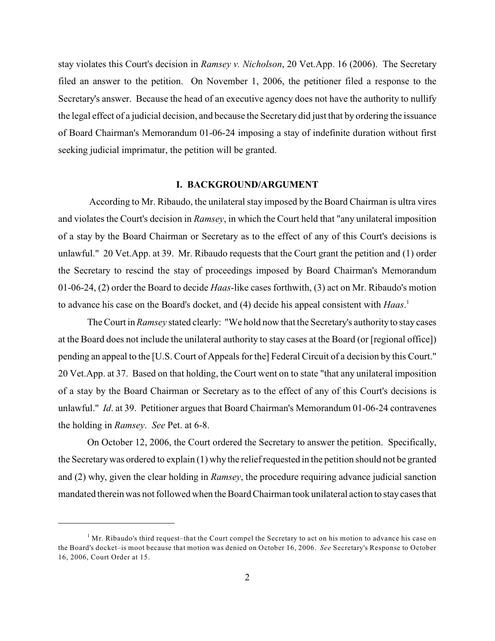stay violates this Court's decision in *Ramsey v. Nicholson*, 20 Vet.App. 16 (2006). The Secretary filed an answer to the petition. On November 1, 2006, the petitioner filed a response to the Secretary's answer. Because the head of an executive agency does not have the authority to nullify the legal effect of a judicial decision, and because the Secretary did just that by ordering the issuance of Board Chairman's Memorandum 01-06-24 imposing a stay of indefinite duration without first seeking judicial imprimatur, the petition will be granted.

#### **I. BACKGROUND/ARGUMENT**

According to Mr. Ribaudo, the unilateral stay imposed by the Board Chairman is ultra vires and violates the Court's decision in *Ramsey*, in which the Court held that "any unilateral imposition of a stay by the Board Chairman or Secretary as to the effect of any of this Court's decisions is unlawful." 20 Vet.App. at 39. Mr. Ribaudo requests that the Court grant the petition and (1) order the Secretary to rescind the stay of proceedings imposed by Board Chairman's Memorandum 01-06-24, (2) order the Board to decide *Haas*-like cases forthwith, (3) act on Mr. Ribaudo's motion to advance his case on the Board's docket, and (4) decide his appeal consistent with *Haas*. 1

The Court in *Ramsey* stated clearly: "We hold now that the Secretary's authority to stay cases at the Board does not include the unilateral authority to stay cases at the Board (or [regional office]) pending an appeal to the [U.S. Court of Appeals for the] Federal Circuit of a decision by this Court." 20 Vet.App. at 37. Based on that holding, the Court went on to state "that any unilateral imposition of a stay by the Board Chairman or Secretary as to the effect of any of this Court's decisions is unlawful." *Id*. at 39. Petitioner argues that Board Chairman's Memorandum 01-06-24 contravenes the holding in *Ramsey*. *See* Pet. at 6-8.

On October 12, 2006, the Court ordered the Secretary to answer the petition. Specifically, the Secretarywas ordered to explain (1) why the relief requested in the petition should not be granted and (2) why, given the clear holding in *Ramsey*, the procedure requiring advance judicial sanction mandated therein was not followed when the Board Chairman took unilateral action to stay cases that

 $<sup>1</sup>$  Mr. Ribaudo's third request–that the Court compel the Secretary to act on his motion to advance his case on</sup> the Board's docket–is moot because that motion was denied on October 16, 2006. *See* Secretary's Response to October 16, 2006, Court Order at 15.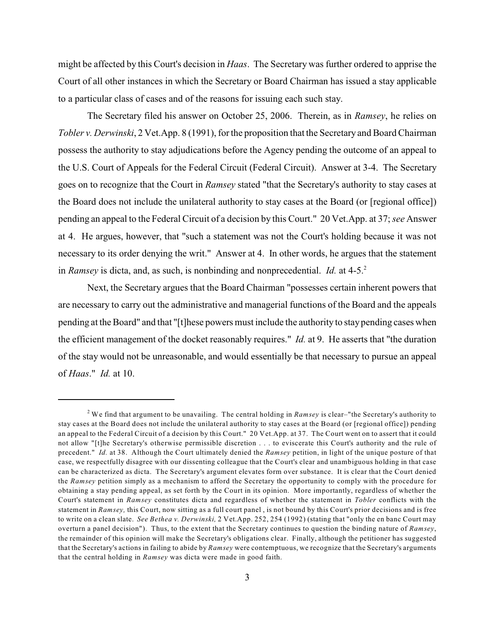might be affected by this Court's decision in *Haas*. The Secretary was further ordered to apprise the Court of all other instances in which the Secretary or Board Chairman has issued a stay applicable to a particular class of cases and of the reasons for issuing each such stay.

The Secretary filed his answer on October 25, 2006. Therein, as in *Ramsey*, he relies on *Tobler v. Derwinski*, 2 Vet.App. 8 (1991), forthe proposition that the Secretary and Board Chairman possess the authority to stay adjudications before the Agency pending the outcome of an appeal to the U.S. Court of Appeals for the Federal Circuit (Federal Circuit). Answer at 3-4. The Secretary goes on to recognize that the Court in *Ramsey* stated "that the Secretary's authority to stay cases at the Board does not include the unilateral authority to stay cases at the Board (or [regional office]) pending an appeal to the Federal Circuit of a decision by this Court." 20 Vet.App. at 37; *see* Answer at 4. He argues, however, that "such a statement was not the Court's holding because it was not necessary to its order denying the writ." Answer at 4. In other words, he argues that the statement in *Ramsey* is dicta, and, as such, is nonbinding and nonprecedential. *Id.* at 4-5.<sup>2</sup>

Next, the Secretary argues that the Board Chairman "possesses certain inherent powers that are necessary to carry out the administrative and managerial functions of the Board and the appeals pending at the Board" and that "[t]hese powers must include the authority to staypending cases when the efficient management of the docket reasonably requires." *Id.* at 9. He asserts that "the duration of the stay would not be unreasonable, and would essentially be that necessary to pursue an appeal of *Haas*." *Id.* at 10.

We find that argument to be unavailing. The central holding in *Ramsey* is clear–"the Secretary's authority to <sup>2</sup> stay cases at the Board does not include the unilateral authority to stay cases at the Board (or [regional office]) pending an appeal to the Federal Circuit of a decision by this Court." 20 Vet.App. at 37. The Court went on to assert that it could not allow "[t]he Secretary's otherwise permissible discretion . . . to eviscerate this Court's authority and the rule of precedent." *Id.* at 38. Although the Court ultimately denied the *Ramsey* petition, in light of the unique posture of that case, we respectfully disagree with our dissenting colleague that the Court's clear and unambiguous holding in that case can be characterized as dicta. The Secretary's argument elevates form over substance. It is clear that the Court denied the *Ramsey* petition simply as a mechanism to afford the Secretary the opportunity to comply with the procedure for obtaining a stay pending appeal, as set forth by the Court in its opinion. More importantly, regardless of whether the Court's statement in *Ramsey* constitutes dicta and regardless of whether the statement in *Tobler* conflicts with the statement in *Ramsey,* this Court, now sitting as a full court panel , is not bound by this Court's prior decisions and is free to write on a clean slate. *See Bethea v. Derwinski,* 2 Vet.App. 252, 254 (1992) (stating that "only the en banc Court may overturn a panel decision").Thus, to the extent that the Secretary continues to question the binding nature of *Ramsey*, the remainder of this opinion will make the Secretary's obligations clear. Finally, although the petitioner has suggested that the Secretary's actions in failing to abide by *Ramsey* were contemptuous, we recognize that the Secretary's arguments that the central holding in *Ramsey* was dicta were made in good faith.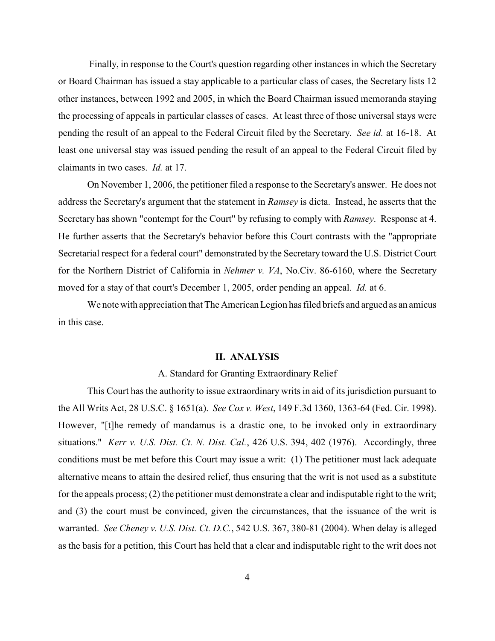Finally, in response to the Court's question regarding other instances in which the Secretary or Board Chairman has issued a stay applicable to a particular class of cases, the Secretary lists 12 other instances, between 1992 and 2005, in which the Board Chairman issued memoranda staying the processing of appeals in particular classes of cases. At least three of those universal stays were pending the result of an appeal to the Federal Circuit filed by the Secretary. *See id.* at 16-18. At least one universal stay was issued pending the result of an appeal to the Federal Circuit filed by claimants in two cases. *Id.* at 17.

On November 1, 2006, the petitioner filed a response to the Secretary's answer. He does not address the Secretary's argument that the statement in *Ramsey* is dicta. Instead, he asserts that the Secretary has shown "contempt for the Court" by refusing to comply with *Ramsey*. Response at 4. He further asserts that the Secretary's behavior before this Court contrasts with the "appropriate Secretarial respect for a federal court" demonstrated by the Secretary toward the U.S. District Court for the Northern District of California in *Nehmer v. VA*, No.Civ. 86-6160, where the Secretary moved for a stay of that court's December 1, 2005, order pending an appeal. *Id.* at 6.

We note with appreciation that The American Legion has filed briefs and argued as an amicus in this case.

#### **II. ANALYSIS**

### A. Standard for Granting Extraordinary Relief

This Court has the authority to issue extraordinary writs in aid of its jurisdiction pursuant to the All Writs Act, 28 U.S.C. § 1651(a). *See Cox v. West*, 149 F.3d 1360, 1363-64 (Fed. Cir. 1998). However, "[t]he remedy of mandamus is a drastic one, to be invoked only in extraordinary situations." *Kerr v. U.S. Dist. Ct. N. Dist. Cal.*, 426 U.S. 394, 402 (1976). Accordingly, three conditions must be met before this Court may issue a writ: (1) The petitioner must lack adequate alternative means to attain the desired relief, thus ensuring that the writ is not used as a substitute for the appeals process; (2) the petitioner must demonstrate a clear and indisputable right to the writ; and (3) the court must be convinced, given the circumstances, that the issuance of the writ is warranted. *See Cheney v. U.S. Dist. Ct. D.C.*, 542 U.S. 367, 380-81 (2004). When delay is alleged as the basis for a petition, this Court has held that a clear and indisputable right to the writ does not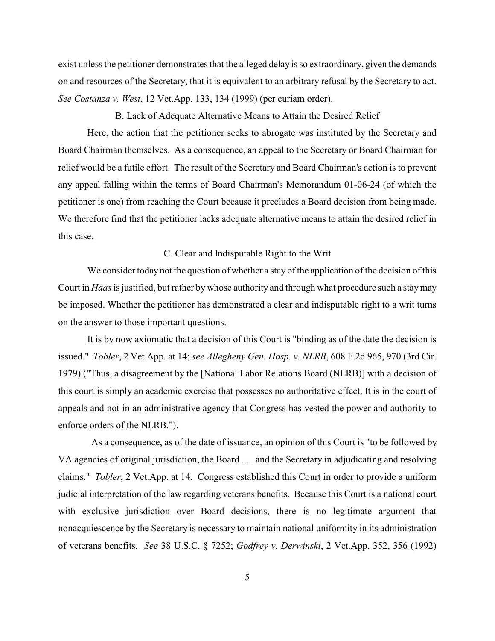exist unless the petitioner demonstrates that the alleged delay is so extraordinary, given the demands on and resources of the Secretary, that it is equivalent to an arbitrary refusal by the Secretary to act. *See Costanza v. West*, 12 Vet.App. 133, 134 (1999) (per curiam order).

B. Lack of Adequate Alternative Means to Attain the Desired Relief

Here, the action that the petitioner seeks to abrogate was instituted by the Secretary and Board Chairman themselves. As a consequence, an appeal to the Secretary or Board Chairman for relief would be a futile effort. The result of the Secretary and Board Chairman's action is to prevent any appeal falling within the terms of Board Chairman's Memorandum 01-06-24 (of which the petitioner is one) from reaching the Court because it precludes a Board decision from being made. We therefore find that the petitioner lacks adequate alternative means to attain the desired relief in this case.

### C. Clear and Indisputable Right to the Writ

We consider today not the question of whether a stay of the application of the decision of this Court in *Haas*is justified, but rather by whose authority and through what procedure such a stay may be imposed. Whether the petitioner has demonstrated a clear and indisputable right to a writ turns on the answer to those important questions.

It is by now axiomatic that a decision of this Court is "binding as of the date the decision is issued." *Tobler*, 2 Vet.App. at 14; *see Allegheny Gen. Hosp. v. NLRB*, 608 F.2d 965, 970 (3rd Cir. 1979) ("Thus, a disagreement by the [National Labor Relations Board (NLRB)] with a decision of this court is simply an academic exercise that possesses no authoritative effect. It is in the court of appeals and not in an administrative agency that Congress has vested the power and authority to enforce orders of the NLRB.").

As a consequence, as of the date of issuance, an opinion of this Court is "to be followed by VA agencies of original jurisdiction, the Board . . . and the Secretary in adjudicating and resolving claims." *Tobler*, 2 Vet.App. at 14. Congress established this Court in order to provide a uniform judicial interpretation of the law regarding veterans benefits. Because this Court is a national court with exclusive jurisdiction over Board decisions, there is no legitimate argument that nonacquiescence by the Secretary is necessary to maintain national uniformity in its administration of veterans benefits. *See* 38 U.S.C. § 7252; *Godfrey v. Derwinski*, 2 Vet.App. 352, 356 (1992)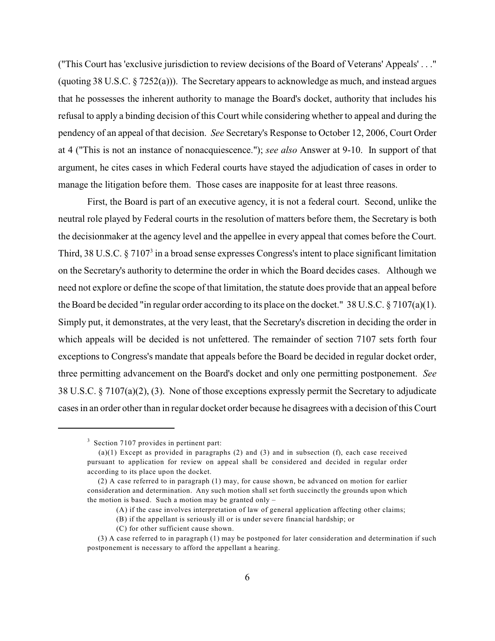("This Court has 'exclusive jurisdiction to review decisions of the Board of Veterans' Appeals' . . ." (quoting 38 U.S.C. § 7252(a))). The Secretary appears to acknowledge as much, and instead argues that he possesses the inherent authority to manage the Board's docket, authority that includes his refusal to apply a binding decision of this Court while considering whether to appeal and during the pendency of an appeal of that decision. *See* Secretary's Response to October 12, 2006, Court Order at 4 ("This is not an instance of nonacquiescence."); *see also* Answer at 9-10. In support of that argument, he cites cases in which Federal courts have stayed the adjudication of cases in order to manage the litigation before them. Those cases are inapposite for at least three reasons.

First, the Board is part of an executive agency, it is not a federal court. Second, unlike the neutral role played by Federal courts in the resolution of matters before them, the Secretary is both the decisionmaker at the agency level and the appellee in every appeal that comes before the Court. Third, 38 U.S.C.  $\S 7107<sup>3</sup>$  in a broad sense expresses Congress's intent to place significant limitation on the Secretary's authority to determine the order in which the Board decides cases. Although we need not explore or define the scope of that limitation, the statute does provide that an appeal before the Board be decided "in regular order according to its place on the docket." 38 U.S.C.  $\S$  7107(a)(1). Simply put, it demonstrates, at the very least, that the Secretary's discretion in deciding the order in which appeals will be decided is not unfettered. The remainder of section 7107 sets forth four exceptions to Congress's mandate that appeals before the Board be decided in regular docket order, three permitting advancement on the Board's docket and only one permitting postponement. *See* 38 U.S.C. § 7107(a)(2), (3). None of those exceptions expressly permit the Secretary to adjudicate cases in an order other than in regular docket order because he disagrees with a decision of this Court

 $3$  Section 7107 provides in pertinent part:

<sup>(</sup>a)(1) Except as provided in paragraphs (2) and (3) and in subsection (f), each case received pursuant to application for review on appeal shall be considered and decided in regular order according to its place upon the docket.

 <sup>(2)</sup> A case referred to in paragraph (1) may, for cause shown, be advanced on motion for earlier consideration and determination. Any such motion shall set forth succinctly the grounds upon which the motion is based. Such a motion may be granted only  $-$ 

<sup>(</sup>A) if the case involves interpretation of law of general application affecting other claims;

<sup>(</sup>B) if the appellant is seriously ill or is under severe financial hardship; or

<sup>(</sup>C) for other sufficient cause shown.

 <sup>(3)</sup> A case referred to in paragraph (1) may be postponed for later consideration and determination if such postponement is necessary to afford the appellant a hearing.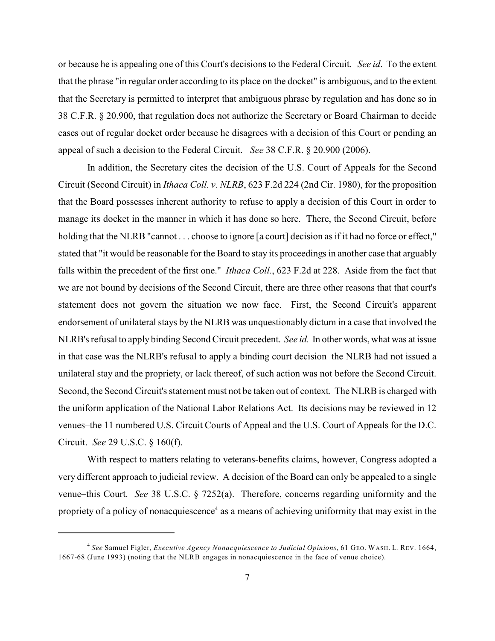or because he is appealing one of this Court's decisions to the Federal Circuit. *See id*. To the extent that the phrase "in regular order according to its place on the docket" is ambiguous, and to the extent that the Secretary is permitted to interpret that ambiguous phrase by regulation and has done so in 38 C.F.R. § 20.900, that regulation does not authorize the Secretary or Board Chairman to decide cases out of regular docket order because he disagrees with a decision of this Court or pending an appeal of such a decision to the Federal Circuit. *See* 38 C.F.R. § 20.900 (2006).

In addition, the Secretary cites the decision of the U.S. Court of Appeals for the Second Circuit (Second Circuit) in *Ithaca Coll. v. NLRB*, 623 F.2d 224 (2nd Cir. 1980), for the proposition that the Board possesses inherent authority to refuse to apply a decision of this Court in order to manage its docket in the manner in which it has done so here. There, the Second Circuit, before holding that the NLRB "cannot . . . choose to ignore [a court] decision as if it had no force or effect," stated that "it would be reasonable for the Board to stay its proceedings in another case that arguably falls within the precedent of the first one." *Ithaca Coll.*, 623 F.2d at 228. Aside from the fact that we are not bound by decisions of the Second Circuit, there are three other reasons that that court's statement does not govern the situation we now face. First, the Second Circuit's apparent endorsement of unilateral stays by the NLRB was unquestionably dictum in a case that involved the NLRB's refusal to apply binding Second Circuit precedent. *See id.* In other words, what was at issue in that case was the NLRB's refusal to apply a binding court decision–the NLRB had not issued a unilateral stay and the propriety, or lack thereof, of such action was not before the Second Circuit. Second, the Second Circuit's statement must not be taken out of context. The NLRB is charged with the uniform application of the National Labor Relations Act. Its decisions may be reviewed in 12 venues–the 11 numbered U.S. Circuit Courts of Appeal and the U.S. Court of Appeals for the D.C. Circuit. *See* 29 U.S.C. § 160(f).

With respect to matters relating to veterans-benefits claims, however, Congress adopted a very different approach to judicial review. A decision of the Board can only be appealed to a single venue–this Court. *See* 38 U.S.C. § 7252(a). Therefore, concerns regarding uniformity and the propriety of a policy of nonacquiescence<sup>4</sup> as a means of achieving uniformity that may exist in the

*See* Samuel Figler, *Executive Agency Nonacquiescence to Judicial Opinions*, 61 GEO. WASH. L. REV. 1664, <sup>4</sup> 1667-68 (June 1993) (noting that the NLRB engages in nonacquiescence in the face of venue choice).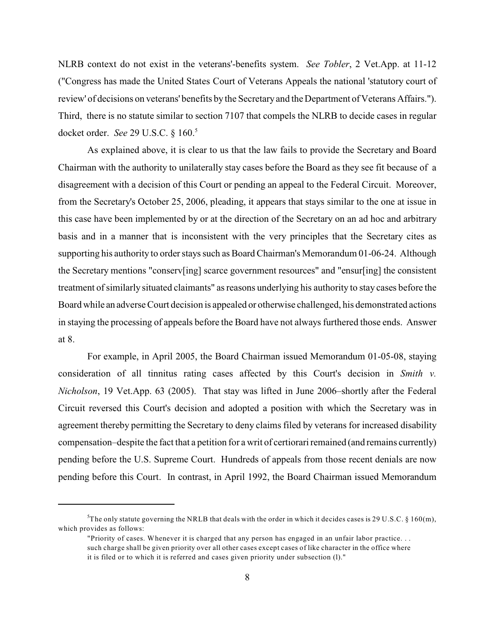NLRB context do not exist in the veterans'-benefits system. *See Tobler*, 2 Vet.App. at 11-12 ("Congress has made the United States Court of Veterans Appeals the national 'statutory court of review' of decisions on veterans' benefits by the Secretary and the Department of Veterans Affairs."). Third, there is no statute similar to section 7107 that compels the NLRB to decide cases in regular docket order. *See* 29 U.S.C. § 160.<sup>5</sup>

As explained above, it is clear to us that the law fails to provide the Secretary and Board Chairman with the authority to unilaterally stay cases before the Board as they see fit because of a disagreement with a decision of this Court or pending an appeal to the Federal Circuit. Moreover, from the Secretary's October 25, 2006, pleading, it appears that stays similar to the one at issue in this case have been implemented by or at the direction of the Secretary on an ad hoc and arbitrary basis and in a manner that is inconsistent with the very principles that the Secretary cites as supporting his authority to order stays such as Board Chairman's Memorandum 01-06-24. Although the Secretary mentions "conserv[ing] scarce government resources" and "ensur[ing] the consistent treatment of similarly situated claimants" as reasons underlying his authority to stay cases before the Board while an adverse Court decision is appealed or otherwise challenged, his demonstrated actions in staying the processing of appeals before the Board have not always furthered those ends. Answer at 8.

For example, in April 2005, the Board Chairman issued Memorandum 01-05-08, staying consideration of all tinnitus rating cases affected by this Court's decision in *Smith v. Nicholson*, 19 Vet.App. 63 (2005). That stay was lifted in June 2006–shortly after the Federal Circuit reversed this Court's decision and adopted a position with which the Secretary was in agreement thereby permitting the Secretary to deny claims filed by veterans for increased disability compensation–despite the fact that a petition for a writ of certiorari remained (and remains currently) pending before the U.S. Supreme Court. Hundreds of appeals from those recent denials are now pending before this Court. In contrast, in April 1992, the Board Chairman issued Memorandum

<sup>&</sup>lt;sup>5</sup>The only statute governing the NRLB that deals with the order in which it decides cases is 29 U.S.C. § 160(m), which provides as follows:

<sup>&</sup>quot;Priority of cases. Whenever it is charged that any person has engaged in an unfair labor practice. . . such charge shall be given priority over all other cases except cases of like character in the office where it is filed or to which it is referred and cases given priority under subsection (l)."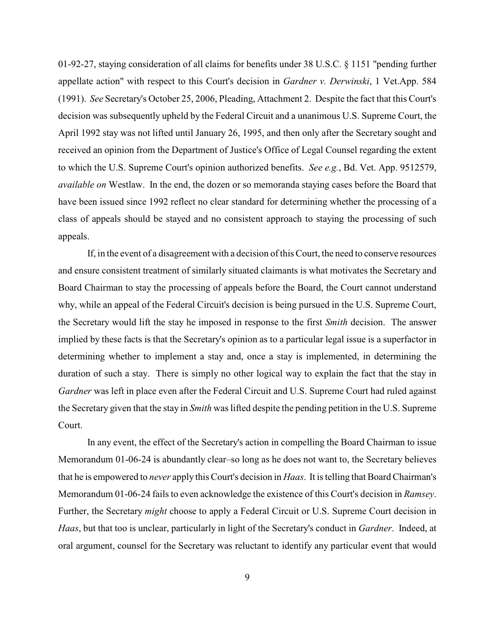01-92-27, staying consideration of all claims for benefits under 38 U.S.C. § 1151 "pending further appellate action" with respect to this Court's decision in *Gardner v. Derwinski*, 1 Vet.App. 584 (1991). *See* Secretary's October 25, 2006, Pleading, Attachment 2. Despite the fact that this Court's decision was subsequently upheld by the Federal Circuit and a unanimous U.S. Supreme Court, the April 1992 stay was not lifted until January 26, 1995, and then only after the Secretary sought and received an opinion from the Department of Justice's Office of Legal Counsel regarding the extent to which the U.S. Supreme Court's opinion authorized benefits. *See e.g.*, Bd. Vet. App. 9512579, *available on* Westlaw. In the end, the dozen or so memoranda staying cases before the Board that have been issued since 1992 reflect no clear standard for determining whether the processing of a class of appeals should be stayed and no consistent approach to staying the processing of such appeals.

If, in the event of a disagreement with a decision of this Court, the need to conserve resources and ensure consistent treatment of similarly situated claimants is what motivates the Secretary and Board Chairman to stay the processing of appeals before the Board, the Court cannot understand why, while an appeal of the Federal Circuit's decision is being pursued in the U.S. Supreme Court, the Secretary would lift the stay he imposed in response to the first *Smith* decision. The answer implied by these facts is that the Secretary's opinion as to a particular legal issue is a superfactor in determining whether to implement a stay and, once a stay is implemented, in determining the duration of such a stay. There is simply no other logical way to explain the fact that the stay in *Gardner* was left in place even after the Federal Circuit and U.S. Supreme Court had ruled against the Secretary given that the stay in *Smith* was lifted despite the pending petition in the U.S. Supreme Court.

In any event, the effect of the Secretary's action in compelling the Board Chairman to issue Memorandum 01-06-24 is abundantly clear–so long as he does not want to, the Secretary believes that he is empowered to *never* apply this Court's decision in *Haas*. It is telling that Board Chairman's Memorandum 01-06-24 fails to even acknowledge the existence of this Court's decision in *Ramsey*. Further, the Secretary *might* choose to apply a Federal Circuit or U.S. Supreme Court decision in *Haas*, but that too is unclear, particularly in light of the Secretary's conduct in *Gardner*. Indeed, at oral argument, counsel for the Secretary was reluctant to identify any particular event that would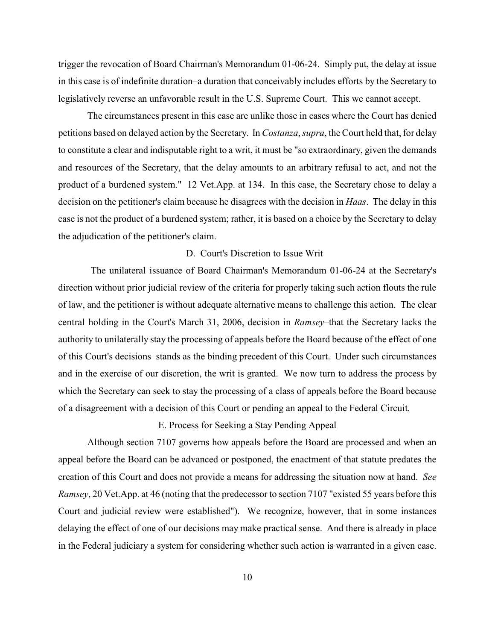trigger the revocation of Board Chairman's Memorandum 01-06-24. Simply put, the delay at issue in this case is of indefinite duration–a duration that conceivably includes efforts by the Secretary to legislatively reverse an unfavorable result in the U.S. Supreme Court. This we cannot accept.

The circumstances present in this case are unlike those in cases where the Court has denied petitions based on delayed action by the Secretary. In *Costanza*, *supra*, the Court held that, for delay to constitute a clear and indisputable right to a writ, it must be "so extraordinary, given the demands and resources of the Secretary, that the delay amounts to an arbitrary refusal to act, and not the product of a burdened system." 12 Vet.App. at 134. In this case, the Secretary chose to delay a decision on the petitioner's claim because he disagrees with the decision in *Haas*. The delay in this case is not the product of a burdened system; rather, it is based on a choice by the Secretary to delay the adjudication of the petitioner's claim.

### D. Court's Discretion to Issue Writ

 The unilateral issuance of Board Chairman's Memorandum 01-06-24 at the Secretary's direction without prior judicial review of the criteria for properly taking such action flouts the rule of law, and the petitioner is without adequate alternative means to challenge this action. The clear central holding in the Court's March 31, 2006, decision in *Ramsey*–that the Secretary lacks the authority to unilaterally stay the processing of appeals before the Board because of the effect of one of this Court's decisions–stands as the binding precedent of this Court. Under such circumstances and in the exercise of our discretion, the writ is granted. We now turn to address the process by which the Secretary can seek to stay the processing of a class of appeals before the Board because of a disagreement with a decision of this Court or pending an appeal to the Federal Circuit.

## E. Process for Seeking a Stay Pending Appeal

Although section 7107 governs how appeals before the Board are processed and when an appeal before the Board can be advanced or postponed, the enactment of that statute predates the creation of this Court and does not provide a means for addressing the situation now at hand. *See Ramsey*, 20 Vet.App. at 46 (noting that the predecessor to section 7107 "existed 55 years before this Court and judicial review were established"). We recognize, however, that in some instances delaying the effect of one of our decisions may make practical sense. And there is already in place in the Federal judiciary a system for considering whether such action is warranted in a given case.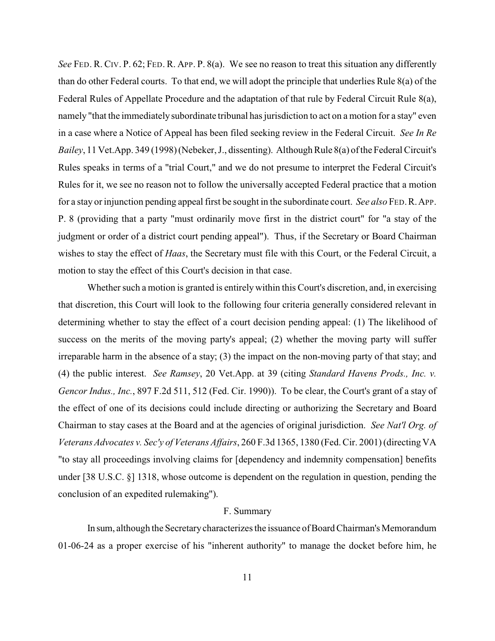*See* FED. R. CIV. P. 62; FED. R. APP. P. 8(a). We see no reason to treat this situation any differently than do other Federal courts. To that end, we will adopt the principle that underlies Rule 8(a) of the Federal Rules of Appellate Procedure and the adaptation of that rule by Federal Circuit Rule 8(a), namely "that the immediately subordinate tribunal has jurisdiction to act on a motion for a stay" even in a case where a Notice of Appeal has been filed seeking review in the Federal Circuit. *See In Re Bailey*, 11 Vet.App. 349 (1998) (Nebeker, J., dissenting). Although Rule 8(a) of the Federal Circuit's Rules speaks in terms of a "trial Court," and we do not presume to interpret the Federal Circuit's Rules for it, we see no reason not to follow the universally accepted Federal practice that a motion for a stay or injunction pending appeal first be sought in the subordinate court. *See also* FED.R.APP. P. 8 (providing that a party "must ordinarily move first in the district court" for "a stay of the judgment or order of a district court pending appeal"). Thus, if the Secretary or Board Chairman wishes to stay the effect of *Haas*, the Secretary must file with this Court, or the Federal Circuit, a motion to stay the effect of this Court's decision in that case.

Whether such a motion is granted is entirely within this Court's discretion, and, in exercising that discretion, this Court will look to the following four criteria generally considered relevant in determining whether to stay the effect of a court decision pending appeal: (1) The likelihood of success on the merits of the moving party's appeal; (2) whether the moving party will suffer irreparable harm in the absence of a stay; (3) the impact on the non-moving party of that stay; and (4) the public interest. *See Ramsey*, 20 Vet.App. at 39 (citing *Standard Havens Prods., Inc. v. Gencor Indus., Inc.*, 897 F.2d 511, 512 (Fed. Cir. 1990)). To be clear, the Court's grant of a stay of the effect of one of its decisions could include directing or authorizing the Secretary and Board Chairman to stay cases at the Board and at the agencies of original jurisdiction. *See Nat'l Org. of Veterans Advocates v. Sec'y of Veterans Affairs*, 260 F.3d 1365, 1380 (Fed. Cir. 2001) (directing VA "to stay all proceedings involving claims for [dependency and indemnity compensation] benefits under [38 U.S.C. §] 1318, whose outcome is dependent on the regulation in question, pending the conclusion of an expedited rulemaking").

#### F. Summary

In sum, although the Secretary characterizes the issuance of Board Chairman's Memorandum 01-06-24 as a proper exercise of his "inherent authority" to manage the docket before him, he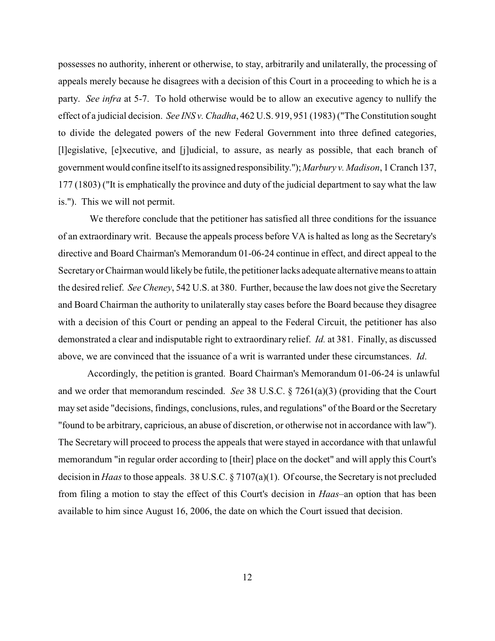possesses no authority, inherent or otherwise, to stay, arbitrarily and unilaterally, the processing of appeals merely because he disagrees with a decision of this Court in a proceeding to which he is a party. *See infra* at 5-7. To hold otherwise would be to allow an executive agency to nullify the effect of a judicial decision. *See INS v. Chadha*, 462 U.S. 919, 951 (1983) ("The Constitution sought to divide the delegated powers of the new Federal Government into three defined categories, [l]egislative, [e]xecutive, and [j]udicial, to assure, as nearly as possible, that each branch of government would confine itself to its assigned responsibility.");*Marbury v. Madison*, 1 Cranch 137, 177 (1803) ("It is emphatically the province and duty of the judicial department to say what the law is."). This we will not permit.

 We therefore conclude that the petitioner has satisfied all three conditions for the issuance of an extraordinary writ. Because the appeals process before VA is halted as long as the Secretary's directive and Board Chairman's Memorandum 01-06-24 continue in effect, and direct appeal to the Secretary or Chairman would likely be futile, the petitioner lacks adequate alternative means to attain the desired relief. *See Cheney*, 542 U.S. at 380. Further, because the law does not give the Secretary and Board Chairman the authority to unilaterally stay cases before the Board because they disagree with a decision of this Court or pending an appeal to the Federal Circuit, the petitioner has also demonstrated a clear and indisputable right to extraordinary relief. *Id.* at 381. Finally, as discussed above, we are convinced that the issuance of a writ is warranted under these circumstances. *Id*.

 Accordingly, the petition is granted. Board Chairman's Memorandum 01-06-24 is unlawful and we order that memorandum rescinded. *See* 38 U.S.C. § 7261(a)(3) (providing that the Court may set aside "decisions, findings, conclusions, rules, and regulations" of the Board or the Secretary "found to be arbitrary, capricious, an abuse of discretion, or otherwise not in accordance with law"). The Secretary will proceed to process the appeals that were stayed in accordance with that unlawful memorandum "in regular order according to [their] place on the docket" and will apply this Court's decision in *Haas*to those appeals. 38 U.S.C. § 7107(a)(1). Of course, the Secretary is not precluded from filing a motion to stay the effect of this Court's decision in *Haas*–an option that has been available to him since August 16, 2006, the date on which the Court issued that decision.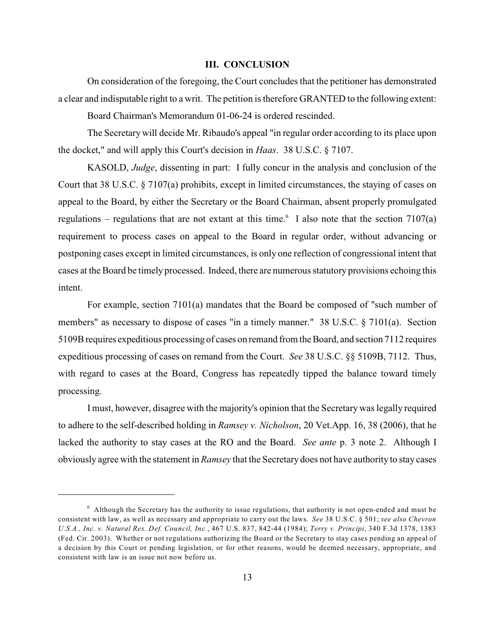### **III. CONCLUSION**

On consideration of the foregoing, the Court concludes that the petitioner has demonstrated a clear and indisputable right to a writ. The petition is therefore GRANTED to the following extent:

Board Chairman's Memorandum 01-06-24 is ordered rescinded.

The Secretary will decide Mr. Ribaudo's appeal "in regular order according to its place upon the docket," and will apply this Court's decision in *Haas*. 38 U.S.C. § 7107.

KASOLD, *Judge*, dissenting in part: I fully concur in the analysis and conclusion of the Court that 38 U.S.C. § 7107(a) prohibits, except in limited circumstances, the staying of cases on appeal to the Board, by either the Secretary or the Board Chairman, absent properly promulgated regulations – regulations that are not extant at this time.<sup>6</sup> I also note that the section 7107(a) requirement to process cases on appeal to the Board in regular order, without advancing or postponing cases except in limited circumstances, is only one reflection of congressional intent that cases at the Board be timely processed. Indeed, there are numerous statutory provisions echoing this intent.

For example, section 7101(a) mandates that the Board be composed of "such number of members" as necessary to dispose of cases "in a timely manner." 38 U.S.C. § 7101(a). Section 5109B requires expeditious processing of cases on remand from the Board, and section 7112 requires expeditious processing of cases on remand from the Court. *See* 38 U.S.C. §§ 5109B, 7112. Thus, with regard to cases at the Board, Congress has repeatedly tipped the balance toward timely processing.

I must, however, disagree with the majority's opinion that the Secretary was legally required to adhere to the self-described holding in *Ramsey v. Nicholson*, 20 Vet.App. 16, 38 (2006), that he lacked the authority to stay cases at the RO and the Board. *See ante* p. 3 note 2. Although I obviously agree with the statement in *Ramsey* that the Secretary does not have authority to stay cases

 $6$  Although the Secretary has the authority to issue regulations, that authority is not open-ended and must be consistent with law, as well as necessary and appropriate to carry out the laws. *See* 38 U.S.C. § 501; *see also Chevron U.S.A., Inc. v. Natural Res. Def. Council, Inc.*, 467 U.S. 837, 842-44 (1984); *Terry v. Principi*, 340 F.3d 1378, 1383 (Fed. Cir. 2003). Whether or not regulations authorizing the Board or the Secretary to stay cases pending an appeal of a decision by this Court or pending legislation, or for other reasons, would be deemed necessary, appropriate, and consistent with law is an issue not now before us.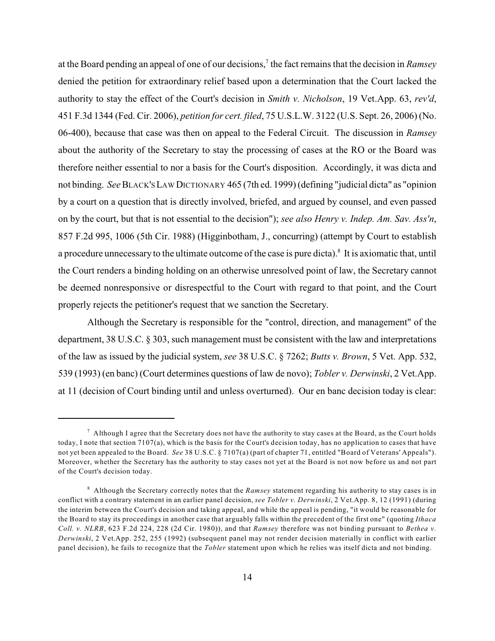at the Board pending an appeal of one of our decisions,<sup>7</sup> the fact remains that the decision in *Ramsey* denied the petition for extraordinary relief based upon a determination that the Court lacked the authority to stay the effect of the Court's decision in *Smith v. Nicholson*, 19 Vet.App. 63, *rev'd*, 451 F.3d 1344 (Fed. Cir. 2006), *petition for cert. filed*, 75 U.S.L.W. 3122 (U.S. Sept. 26, 2006) (No. 06-400), because that case was then on appeal to the Federal Circuit. The discussion in *Ramsey* about the authority of the Secretary to stay the processing of cases at the RO or the Board was therefore neither essential to nor a basis for the Court's disposition. Accordingly, it was dicta and not binding. *See* BLACK'S LAW DICTIONARY 465 (7th ed. 1999) (defining "judicial dicta" as "opinion by a court on a question that is directly involved, briefed, and argued by counsel, and even passed on by the court, but that is not essential to the decision"); *see also Henry v. Indep. Am. Sav. Ass'n*, 857 F.2d 995, 1006 (5th Cir. 1988) (Higginbotham, J., concurring) (attempt by Court to establish a procedure unnecessary to the ultimate outcome of the case is pure dicta). $^8$  It is axiomatic that, until the Court renders a binding holding on an otherwise unresolved point of law, the Secretary cannot be deemed nonresponsive or disrespectful to the Court with regard to that point, and the Court properly rejects the petitioner's request that we sanction the Secretary.

Although the Secretary is responsible for the "control, direction, and management" of the department, 38 U.S.C. § 303, such management must be consistent with the law and interpretations of the law as issued by the judicial system, *see* 38 U.S.C. § 7262; *Butts v. Brown*, 5 Vet. App. 532, 539 (1993) (en banc) (Court determines questions of law de novo); *Tobler v. Derwinski*, 2 Vet.App. at 11 (decision of Court binding until and unless overturned). Our en banc decision today is clear:

<sup>&</sup>lt;sup>7</sup> Although I agree that the Secretary does not have the authority to stay cases at the Board, as the Court holds today, I note that section 7107(a), which is the basis for the Court's decision today, has no application to cases that have not yet been appealed to the Board. *See* 38 U.S.C. § 7107(a) (part of chapter 71, entitled "Board of Veterans' Appeals"). Moreover, whether the Secretary has the authority to stay cases not yet at the Board is not now before us and not part of the Court's decision today.

Although the Secretary correctly notes that the *Ramsey* statement regarding his authority to stay cases is in <sup>8</sup> conflict with a contrary statement in an earlier panel decision, *see Tobler v. Derwinski*, 2 Vet.App. 8, 12 (1991) (during the interim between the Court's decision and taking appeal, and while the appeal is pending, "it would be reasonable for the Board to stay its proceedings in another case that arguably falls within the precedent of the first one" (quoting *Ithaca Coll. v. NLRB*, 623 F.2d 224, 228 (2d Cir. 1980)), and that *Ramsey* therefore was not binding pursuant to *Bethea v. Derwinski*, 2 Vet.App. 252, 255 (1992) (subsequent panel may not render decision materially in conflict with earlier panel decision), he fails to recognize that the *Tobler* statement upon which he relies was itself dicta and not binding.